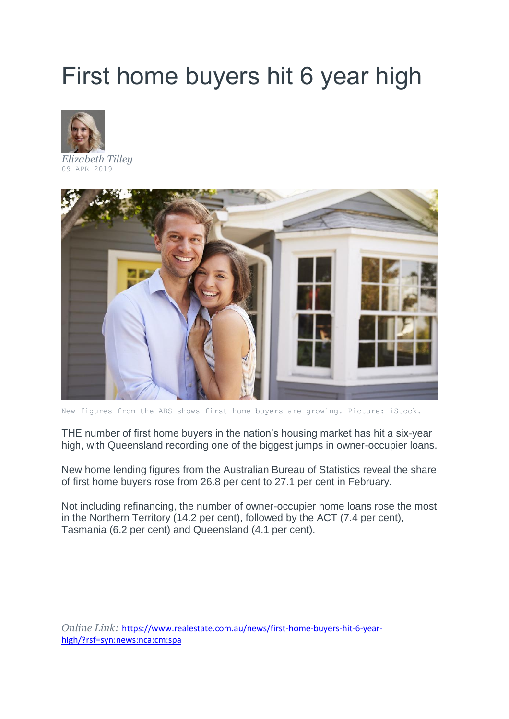## First home buyers hit 6 year high



*[Elizabeth Tilley](https://www.realestate.com.au/news/author/elizabeth-tilley/)* 09 APR 2019



New figures from the ABS shows first home buyers are growing. Picture: iStock.

THE number of first home buyers in the nation's housing market has hit a six-year high, with Queensland recording one of the biggest jumps in owner-occupier loans.

New home lending figures from the Australian Bureau of Statistics reveal the share of first home buyers rose from 26.8 per cent to 27.1 per cent in February.

Not including refinancing, the number of owner-occupier home loans rose the most in the Northern Territory (14.2 per cent), followed by the ACT (7.4 per cent), Tasmania (6.2 per cent) and Queensland (4.1 per cent).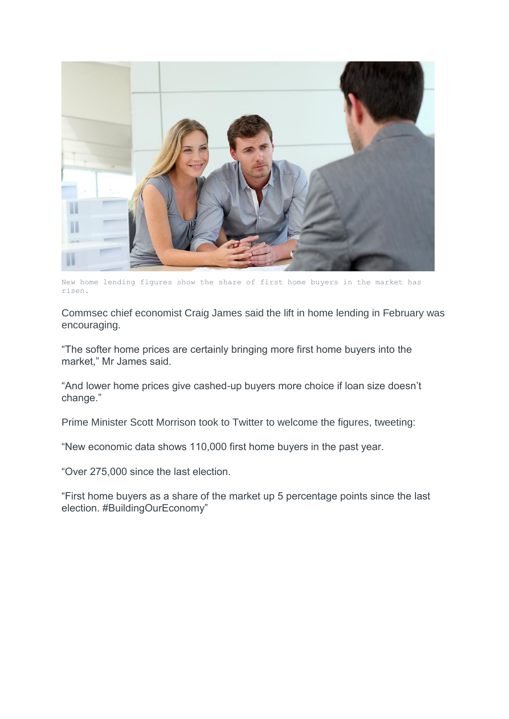

New home lending figures show the share of first home buyers in the market has risen.

Commsec chief economist Craig James said the lift in home lending in February was encouraging.

"The softer home prices are certainly bringing more first home buyers into the market," Mr James said.

"And lower home prices give cashed-up buyers more choice if loan size doesn't change."

Prime Minister Scott Morrison took to Twitter to welcome the figures, tweeting:

"New economic data shows 110,000 first home buyers in the past year.

"Over 275,000 since the last election.

"First home buyers as a share of the market up 5 percentage points since the last election. #BuildingOurEconomy"